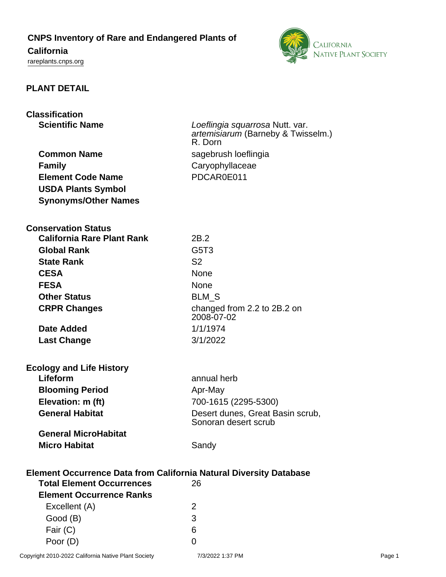**CNPS Inventory of Rare and Endangered Plants of**

## **California**

<rareplants.cnps.org>



#### **PLANT DETAIL**

# **Classification**

| <b>Common Name</b>          |
|-----------------------------|
| <b>Family</b>               |
| <b>Element Code Name</b>    |
| <b>USDA Plants Symbol</b>   |
| <b>Synonyms/Other Names</b> |

**Scientific Name Contract Contract Contract Loeflingia squarrosa Nutt. var.** artemisiarum (Barneby & Twisselm.) R. Dorn sagebrush loeflingia **Family** Caryophyllaceae **Element Code Name** PDCAR0E011

#### **Conservation Status**

| <b>California Rare Plant Rank</b> | 2B.2                                      |
|-----------------------------------|-------------------------------------------|
| <b>Global Rank</b>                | G <sub>5</sub> T <sub>3</sub>             |
| <b>State Rank</b>                 | S <sub>2</sub>                            |
| <b>CESA</b>                       | <b>None</b>                               |
| <b>FESA</b>                       | <b>None</b>                               |
| <b>Other Status</b>               | <b>BLM S</b>                              |
| <b>CRPR Changes</b>               | changed from 2.2 to 2B.2 on<br>2008-07-02 |
| <b>Date Added</b>                 | 1/1/1974                                  |
| <b>Last Change</b>                | 3/1/2022                                  |

### **Ecology and Life History Lifeform** annual herb **Blooming Period** Apr-May **Elevation: m (ft)** 700-1615 (2295-5300)

General Habitat **General Habitat** Desert dunes, Great Basin scrub, Sonoran desert scrub

#### **General MicroHabitat Micro Habitat** Sandy

#### **Element Occurrence Data from California Natural Diversity Database**

| <b>Total Element Occurrences</b> | 26 |  |
|----------------------------------|----|--|
| <b>Element Occurrence Ranks</b>  |    |  |
| Excellent (A)                    | 2  |  |
| Good (B)                         | 3  |  |
| Fair $(C)$                       | 6  |  |
| Poor (D)                         |    |  |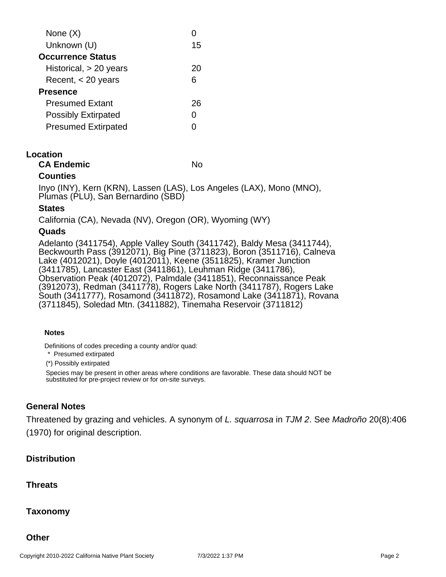| None $(X)$                 |    |
|----------------------------|----|
| Unknown (U)                | 15 |
| <b>Occurrence Status</b>   |    |
| Historical, $> 20$ years   | 20 |
| Recent, $<$ 20 years       | 6  |
| <b>Presence</b>            |    |
| <b>Presumed Extant</b>     | 26 |
| <b>Possibly Extirpated</b> | O  |
| <b>Presumed Extirpated</b> | 0  |
|                            |    |

#### **Location**

**CA Endemic** No

#### **Counties**

Inyo (INY), Kern (KRN), Lassen (LAS), Los Angeles (LAX), Mono (MNO), Plumas (PLU), San Bernardino (SBD)

#### **States**

California (CA), Nevada (NV), Oregon (OR), Wyoming (WY)

#### **Quads**

Adelanto (3411754), Apple Valley South (3411742), Baldy Mesa (3411744), Beckwourth Pass (3912071), Big Pine (3711823), Boron (3511716), Calneva Lake (4012021), Doyle (4012011), Keene (3511825), Kramer Junction (3411785), Lancaster East (3411861), Leuhman Ridge (3411786), Observation Peak (4012072), Palmdale (3411851), Reconnaissance Peak (3912073), Redman (3411778), Rogers Lake North (3411787), Rogers Lake South (3411777), Rosamond (3411872), Rosamond Lake (3411871), Rovana (3711845), Soledad Mtn. (3411882), Tinemaha Reservoir (3711812)

#### **Notes**

Definitions of codes preceding a county and/or quad:

\* Presumed extirpated

(\*) Possibly extirpated

Species may be present in other areas where conditions are favorable. These data should NOT be substituted for pre-project review or for on-site surveys.

#### **General Notes**

Threatened by grazing and vehicles. A synonym of L. squarrosa in TJM 2. See Madroño 20(8):406 (1970) for original description.

#### **Distribution**

#### **Threats**

#### **Taxonomy**

**Other**